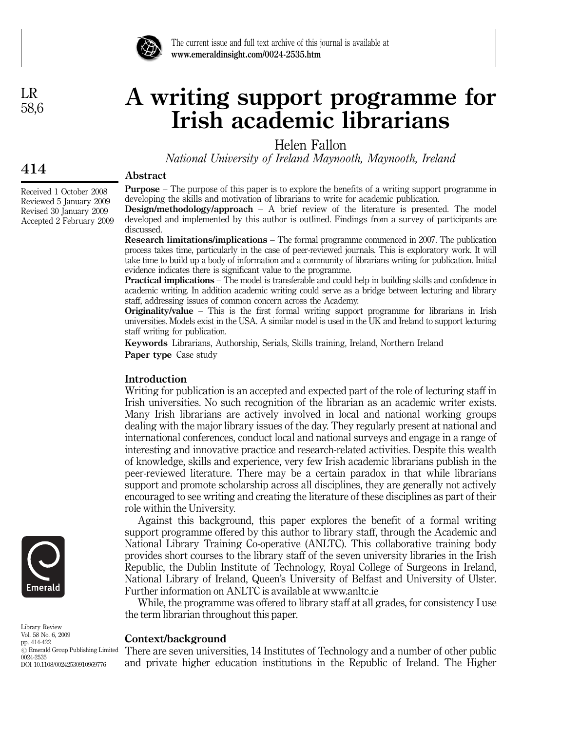

LR 58,6

414

Received 1 October 2008 Reviewed 5 January 2009 Revised 30 January 2009 Accepted 2 February 2009

# A writing support programme for Irish academic librarians

Helen Fallon

National University of Ireland Maynooth, Maynooth, Ireland

## Abstract

Purpose – The purpose of this paper is to explore the benefits of a writing support programme in developing the skills and motivation of librarians to write for academic publication.

**Design/methodology/approach** – A brief review of the literature is presented. The model developed and implemented by this author is outlined. Findings from a survey of participants are discussed.

Research limitations/implications – The formal programme commenced in 2007. The publication process takes time, particularly in the case of peer-reviewed journals. This is exploratory work. It will take time to build up a body of information and a community of librarians writing for publication. Initial evidence indicates there is significant value to the programme.

Practical implications – The model is transferable and could help in building skills and confidence in academic writing. In addition academic writing could serve as a bridge between lecturing and library staff, addressing issues of common concern across the Academy.

Originality/value – This is the first formal writing support programme for librarians in Irish universities. Models exist in the USA. A similar model is used in the UK and Ireland to support lecturing staff writing for publication.

Keywords Librarians, Authorship, Serials, Skills training, Ireland, Northern Ireland Paper type Case study

# Introduction

Writing for publication is an accepted and expected part of the role of lecturing staff in Irish universities. No such recognition of the librarian as an academic writer exists. Many Irish librarians are actively involved in local and national working groups dealing with the major library issues of the day. They regularly present at national and international conferences, conduct local and national surveys and engage in a range of interesting and innovative practice and research-related activities. Despite this wealth of knowledge, skills and experience, very few Irish academic librarians publish in the peer-reviewed literature. There may be a certain paradox in that while librarians support and promote scholarship across all disciplines, they are generally not actively encouraged to see writing and creating the literature of these disciplines as part of their role within the University.

Against this background, this paper explores the benefit of a formal writing support programme offered by this author to library staff, through the Academic and National Library Training Co-operative (ANLTC). This collaborative training body provides short courses to the library staff of the seven university libraries in the Irish Republic, the Dublin Institute of Technology, Royal College of Surgeons in Ireland, National Library of Ireland, Queen's University of Belfast and University of Ulster. Further information on ANLTC is available at www.anltc.ie

While, the programme was offered to library staff at all grades, for consistency I use the term librarian throughout this paper.

## Context/background

There are seven universities, 14 Institutes of Technology and a number of other public and private higher education institutions in the Republic of Ireland. The Higher



Library Review Vol. 58 No. 6, 2009 pp. 414-422  $\oslash$  Emerald Group Publishing Limited 0024-2535 DOI 10.1108/00242530910969776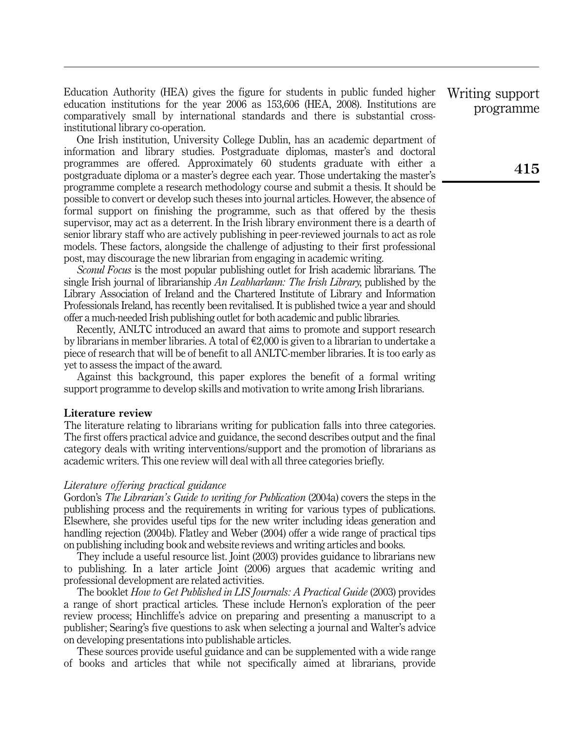Education Authority (HEA) gives the figure for students in public funded higher education institutions for the year 2006 as 153,606 (HEA, 2008). Institutions are comparatively small by international standards and there is substantial crossinstitutional library co-operation.

One Irish institution, University College Dublin, has an academic department of information and library studies. Postgraduate diplomas, master's and doctoral programmes are offered. Approximately 60 students graduate with either a postgraduate diploma or a master's degree each year. Those undertaking the master's programme complete a research methodology course and submit a thesis. It should be possible to convert or develop such theses into journal articles. However, the absence of formal support on finishing the programme, such as that offered by the thesis supervisor, may act as a deterrent. In the Irish library environment there is a dearth of senior library staff who are actively publishing in peer-reviewed journals to act as role models. These factors, alongside the challenge of adjusting to their first professional post, may discourage the new librarian from engaging in academic writing.

Sconul Focus is the most popular publishing outlet for Irish academic librarians. The single Irish journal of librarianship An Leabharlann: The Irish Library, published by the Library Association of Ireland and the Chartered Institute of Library and Information Professionals Ireland, has recently been revitalised. It is published twice a year and should offer a much-needed Irish publishing outlet for both academic and public libraries.

Recently, ANLTC introduced an award that aims to promote and support research by librarians in member libraries. A total of  $\epsilon$ 2,000 is given to a librarian to undertake a piece of research that will be of benefit to all ANLTC-member libraries. It is too early as yet to assess the impact of the award.

Against this background, this paper explores the benefit of a formal writing support programme to develop skills and motivation to write among Irish librarians.

### Literature review

The literature relating to librarians writing for publication falls into three categories. The first offers practical advice and guidance, the second describes output and the final category deals with writing interventions/support and the promotion of librarians as academic writers. This one review will deal with all three categories briefly.

#### Literature offering practical guidance

Gordon's The Librarian's Guide to writing for Publication (2004a) covers the steps in the publishing process and the requirements in writing for various types of publications. Elsewhere, she provides useful tips for the new writer including ideas generation and handling rejection (2004b). Flatley and Weber (2004) offer a wide range of practical tips on publishing including book and website reviews and writing articles and books.

They include a useful resource list. Joint (2003) provides guidance to librarians new to publishing. In a later article Joint (2006) argues that academic writing and professional development are related activities.

The booklet How to Get Published in LIS Journals: A Practical Guide (2003) provides a range of short practical articles. These include Hernon's exploration of the peer review process; Hinchliffe's advice on preparing and presenting a manuscript to a publisher; Searing's five questions to ask when selecting a journal and Walter's advice on developing presentations into publishable articles.

These sources provide useful guidance and can be supplemented with a wide range of books and articles that while not specifically aimed at librarians, provide Writing support programme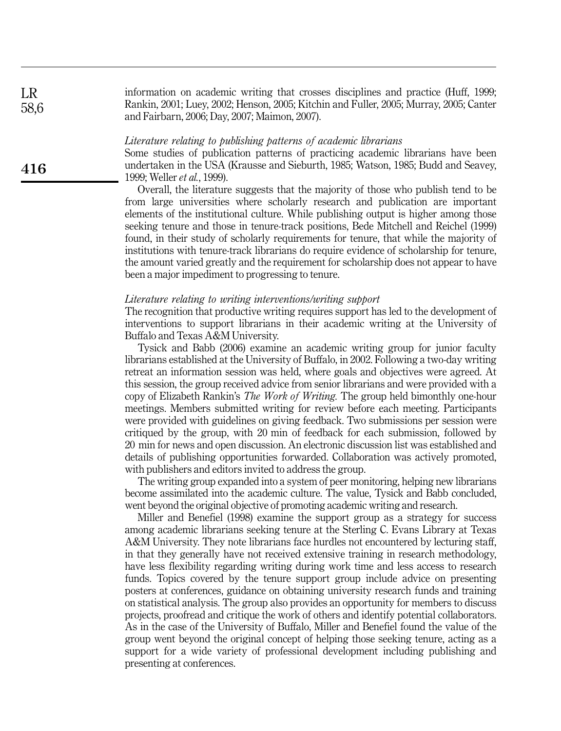information on academic writing that crosses disciplines and practice (Huff, 1999; Rankin, 2001; Luey, 2002; Henson, 2005; Kitchin and Fuller, 2005; Murray, 2005; Canter and Fairbarn, 2006; Day, 2007; Maimon, 2007).

## Literature relating to publishing patterns of academic librarians

Some studies of publication patterns of practicing academic librarians have been undertaken in the USA (Krausse and Sieburth, 1985; Watson, 1985; Budd and Seavey, 1999; Weller et al., 1999).

Overall, the literature suggests that the majority of those who publish tend to be from large universities where scholarly research and publication are important elements of the institutional culture. While publishing output is higher among those seeking tenure and those in tenure-track positions, Bede Mitchell and Reichel (1999) found, in their study of scholarly requirements for tenure, that while the majority of institutions with tenure-track librarians do require evidence of scholarship for tenure, the amount varied greatly and the requirement for scholarship does not appear to have been a major impediment to progressing to tenure.

#### Literature relating to writing interventions/writing support

The recognition that productive writing requires support has led to the development of interventions to support librarians in their academic writing at the University of Buffalo and Texas A&M University.

Tysick and Babb (2006) examine an academic writing group for junior faculty librarians established at the University of Buffalo, in 2002. Following a two-day writing retreat an information session was held, where goals and objectives were agreed. At this session, the group received advice from senior librarians and were provided with a copy of Elizabeth Rankin's The Work of Writing. The group held bimonthly one-hour meetings. Members submitted writing for review before each meeting. Participants were provided with guidelines on giving feedback. Two submissions per session were critiqued by the group, with 20 min of feedback for each submission, followed by 20 min for news and open discussion. An electronic discussion list was established and details of publishing opportunities forwarded. Collaboration was actively promoted, with publishers and editors invited to address the group.

The writing group expanded into a system of peer monitoring, helping new librarians become assimilated into the academic culture. The value, Tysick and Babb concluded, went beyond the original objective of promoting academic writing and research.

Miller and Benefiel (1998) examine the support group as a strategy for success among academic librarians seeking tenure at the Sterling C. Evans Library at Texas A&M University. They note librarians face hurdles not encountered by lecturing staff, in that they generally have not received extensive training in research methodology, have less flexibility regarding writing during work time and less access to research funds. Topics covered by the tenure support group include advice on presenting posters at conferences, guidance on obtaining university research funds and training on statistical analysis. The group also provides an opportunity for members to discuss projects, proofread and critique the work of others and identify potential collaborators. As in the case of the University of Buffalo, Miller and Benefiel found the value of the group went beyond the original concept of helping those seeking tenure, acting as a support for a wide variety of professional development including publishing and presenting at conferences.

LR 58,6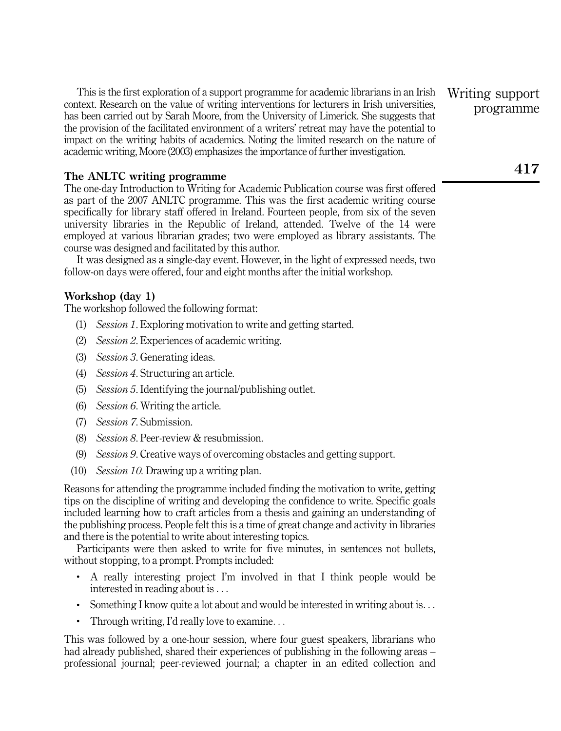Writing support This is the first exploration of a support programme for academic librarians in an Irish context. Research on the value of writing interventions for lecturers in Irish universities, has been carried out by Sarah Moore, from the University of Limerick. She suggests that the provision of the facilitated environment of a writers' retreat may have the potential to impact on the writing habits of academics. Noting the limited research on the nature of academic writing, Moore (2003) emphasizes the importance of further investigation.

# The ANLTC writing programme

The one-day Introduction to Writing for Academic Publication course was first offered as part of the 2007 ANLTC programme. This was the first academic writing course specifically for library staff offered in Ireland. Fourteen people, from six of the seven university libraries in the Republic of Ireland, attended. Twelve of the 14 were employed at various librarian grades; two were employed as library assistants. The course was designed and facilitated by this author.

It was designed as a single-day event. However, in the light of expressed needs, two follow-on days were offered, four and eight months after the initial workshop.

# Workshop (day 1)

The workshop followed the following format:

- (1) Session 1. Exploring motivation to write and getting started.
- (2) Session 2. Experiences of academic writing.
- (3) Session 3. Generating ideas.
- (4) Session 4. Structuring an article.
- (5) Session 5. Identifying the journal/publishing outlet.
- (6) Session 6. Writing the article.
- (7) Session 7. Submission.
- (8) Session 8. Peer-review & resubmission.
- (9) Session 9. Creative ways of overcoming obstacles and getting support.
- (10) Session 10. Drawing up a writing plan.

Reasons for attending the programme included finding the motivation to write, getting tips on the discipline of writing and developing the confidence to write. Specific goals included learning how to craft articles from a thesis and gaining an understanding of the publishing process. People felt this is a time of great change and activity in libraries and there is the potential to write about interesting topics.

Participants were then asked to write for five minutes, in sentences not bullets, without stopping, to a prompt. Prompts included:

- . A really interesting project I'm involved in that I think people would be interested in reading about is ...
- . Something I know quite a lot about and would be interested in writing about is...
- . Through writing, I'd really love to examine...

This was followed by a one-hour session, where four guest speakers, librarians who had already published, shared their experiences of publishing in the following areas – professional journal; peer-reviewed journal; a chapter in an edited collection and programme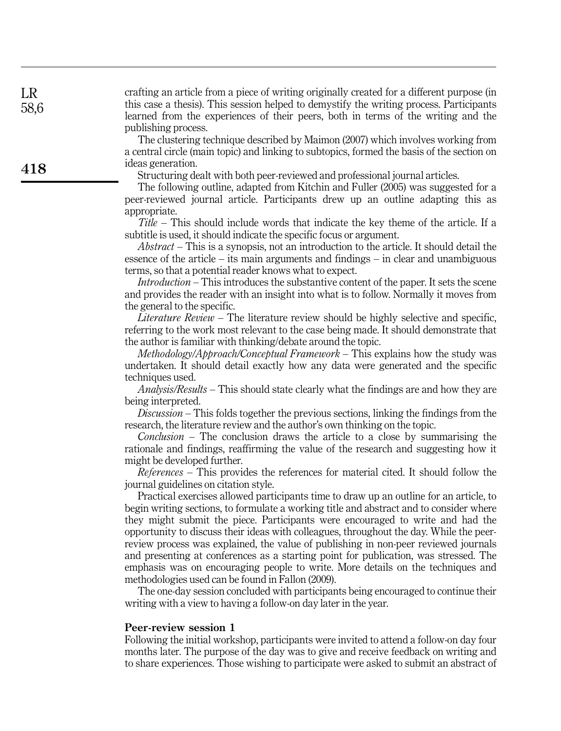| LR<br>58,6 | crafting an article from a piece of writing originally created for a different purpose (in<br>this case a thesis). This session helped to demystify the writing process. Participants<br>learned from the experiences of their peers, both in terms of the writing and the<br>publishing process. |
|------------|---------------------------------------------------------------------------------------------------------------------------------------------------------------------------------------------------------------------------------------------------------------------------------------------------|
|            | The clustering technique described by Maimon (2007) which involves working from                                                                                                                                                                                                                   |

418

The clustering technique described by Maimon (2007) which involves working from a central circle (main topic) and linking to subtopics, formed the basis of the section on ideas generation.

Structuring dealt with both peer-reviewed and professional journal articles.

The following outline, adapted from Kitchin and Fuller (2005) was suggested for a peer-reviewed journal article. Participants drew up an outline adapting this as appropriate.

Title – This should include words that indicate the key theme of the article. If a subtitle is used, it should indicate the specific focus or argument.

 $Abstract$  – This is a synopsis, not an introduction to the article. It should detail the essence of the article – its main arguments and findings – in clear and unambiguous terms, so that a potential reader knows what to expect.

Introduction – This introduces the substantive content of the paper. It sets the scene and provides the reader with an insight into what is to follow. Normally it moves from the general to the specific.

Literature Review – The literature review should be highly selective and specific, referring to the work most relevant to the case being made. It should demonstrate that the author is familiar with thinking/debate around the topic.

*Methodology/Approach/Conceptual Framework – This explains how the study was* undertaken. It should detail exactly how any data were generated and the specific techniques used.

Analysis/Results – This should state clearly what the findings are and how they are being interpreted.

 $Discussion - This folds together the previous sections, linking the findings from the$ research, the literature review and the author's own thinking on the topic.

*Conclusion –* The conclusion draws the article to a close by summarising the rationale and findings, reaffirming the value of the research and suggesting how it might be developed further.

References – This provides the references for material cited. It should follow the journal guidelines on citation style.

Practical exercises allowed participants time to draw up an outline for an article, to begin writing sections, to formulate a working title and abstract and to consider where they might submit the piece. Participants were encouraged to write and had the opportunity to discuss their ideas with colleagues, throughout the day. While the peerreview process was explained, the value of publishing in non-peer reviewed journals and presenting at conferences as a starting point for publication, was stressed. The emphasis was on encouraging people to write. More details on the techniques and methodologies used can be found in Fallon (2009).

The one-day session concluded with participants being encouraged to continue their writing with a view to having a follow-on day later in the year.

### Peer-review session 1

Following the initial workshop, participants were invited to attend a follow-on day four months later. The purpose of the day was to give and receive feedback on writing and to share experiences. Those wishing to participate were asked to submit an abstract of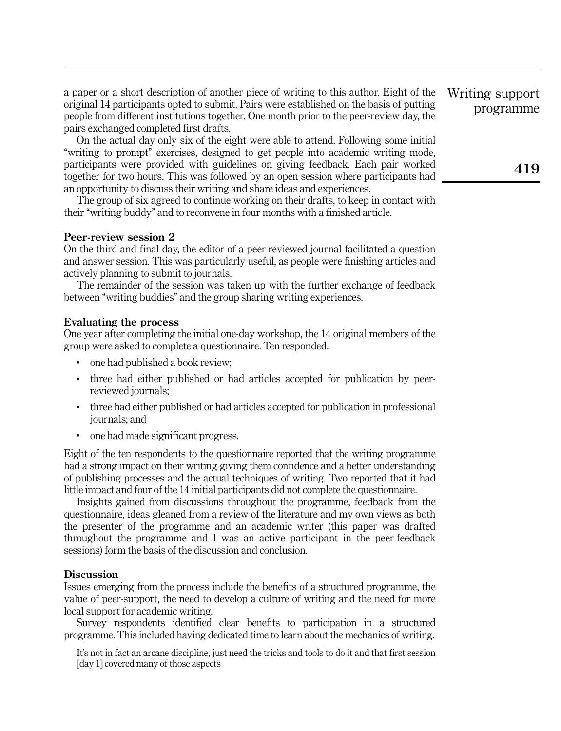a paper or a short description of another piece of writing to this author. Eight of the original 14 participants opted to submit. Pairs were established on the basis of putting people from different institutions together. One month prior to the peer-review day, the pairs exchanged completed first drafts.

On the actual day only six of the eight were able to attend. Following some initial ''writing to prompt'' exercises, designed to get people into academic writing mode, participants were provided with guidelines on giving feedback. Each pair worked together for two hours. This was followed by an open session where participants had an opportunity to discuss their writing and share ideas and experiences.

The group of six agreed to continue working on their drafts, to keep in contact with their ''writing buddy'' and to reconvene in four months with a finished article.

## Peer-review session 2

On the third and final day, the editor of a peer-reviewed journal facilitated a question and answer session. This was particularly useful, as people were finishing articles and actively planning to submit to journals.

The remainder of the session was taken up with the further exchange of feedback between ''writing buddies'' and the group sharing writing experiences.

## Evaluating the process

One year after completing the initial one-day workshop, the 14 original members of the group were asked to complete a questionnaire. Ten responded.

- . one had published a book review;
- . three had either published or had articles accepted for publication by peerreviewed journals;
- . three had either published or had articles accepted for publication in professional journals; and
- . one had made significant progress.

Eight of the ten respondents to the questionnaire reported that the writing programme had a strong impact on their writing giving them confidence and a better understanding of publishing processes and the actual techniques of writing. Two reported that it had little impact and four of the 14 initial participants did not complete the questionnaire.

Insights gained from discussions throughout the programme, feedback from the questionnaire, ideas gleaned from a review of the literature and my own views as both the presenter of the programme and an academic writer (this paper was drafted throughout the programme and I was an active participant in the peer-feedback sessions) form the basis of the discussion and conclusion.

## **Discussion**

Issues emerging from the process include the benefits of a structured programme, the value of peer-support, the need to develop a culture of writing and the need for more local support for academic writing.

Survey respondents identified clear benefits to participation in a structured programme. This included having dedicated time to learn about the mechanics of writing.

It's not in fact an arcane discipline, just need the tricks and tools to do it and that first session [day 1] covered many of those aspects

Writing support programme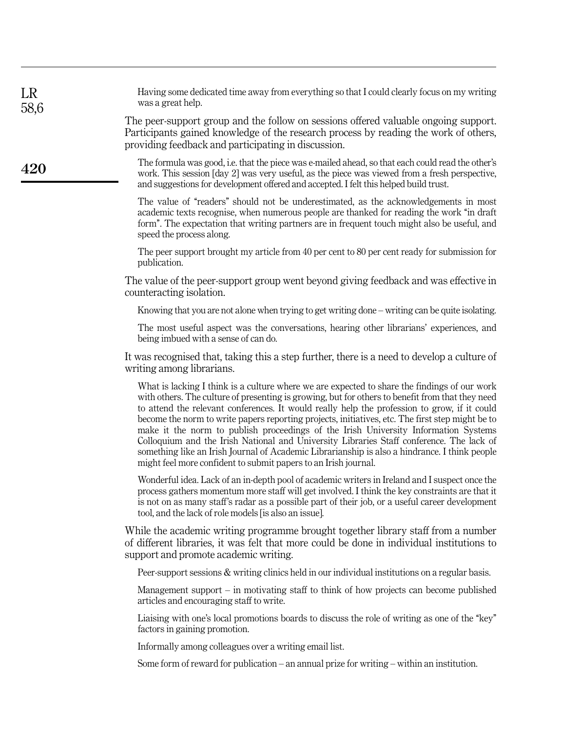| LR<br>58,6 | Having some dedicated time away from everything so that I could clearly focus on my writing<br>was a great help.                                                                                                                                                                                                                                                                                                                                                                                                                                                                                                                                                                                                                                            |
|------------|-------------------------------------------------------------------------------------------------------------------------------------------------------------------------------------------------------------------------------------------------------------------------------------------------------------------------------------------------------------------------------------------------------------------------------------------------------------------------------------------------------------------------------------------------------------------------------------------------------------------------------------------------------------------------------------------------------------------------------------------------------------|
|            | The peer-support group and the follow on sessions offered valuable ongoing support.<br>Participants gained knowledge of the research process by reading the work of others,<br>providing feedback and participating in discussion.                                                                                                                                                                                                                                                                                                                                                                                                                                                                                                                          |
| 420        | The formula was good, i.e. that the piece was e-mailed ahead, so that each could read the other's<br>work. This session [day 2] was very useful, as the piece was viewed from a fresh perspective,<br>and suggestions for development offered and accepted. I felt this helped build trust.                                                                                                                                                                                                                                                                                                                                                                                                                                                                 |
|            | The value of "readers" should not be underestimated, as the acknowledgements in most<br>academic texts recognise, when numerous people are thanked for reading the work "in draft<br>form". The expectation that writing partners are in frequent touch might also be useful, and<br>speed the process along.                                                                                                                                                                                                                                                                                                                                                                                                                                               |
|            | The peer support brought my article from 40 per cent to 80 per cent ready for submission for<br>publication.                                                                                                                                                                                                                                                                                                                                                                                                                                                                                                                                                                                                                                                |
|            | The value of the peer-support group went beyond giving feedback and was effective in<br>counteracting isolation.                                                                                                                                                                                                                                                                                                                                                                                                                                                                                                                                                                                                                                            |
|            | Knowing that you are not alone when trying to get writing done – writing can be quite isolating.                                                                                                                                                                                                                                                                                                                                                                                                                                                                                                                                                                                                                                                            |
|            | The most useful aspect was the conversations, hearing other librarians' experiences, and<br>being imbued with a sense of can do.                                                                                                                                                                                                                                                                                                                                                                                                                                                                                                                                                                                                                            |
|            | It was recognised that, taking this a step further, there is a need to develop a culture of<br>writing among librarians.                                                                                                                                                                                                                                                                                                                                                                                                                                                                                                                                                                                                                                    |
|            | What is lacking I think is a culture where we are expected to share the findings of our work<br>with others. The culture of presenting is growing, but for others to benefit from that they need<br>to attend the relevant conferences. It would really help the profession to grow, if it could<br>become the norm to write papers reporting projects, initiatives, etc. The first step might be to<br>make it the norm to publish proceedings of the Irish University Information Systems<br>Colloquium and the Irish National and University Libraries Staff conference. The lack of<br>something like an Irish Journal of Academic Librarianship is also a hindrance. I think people<br>might feel more confident to submit papers to an Irish journal. |
|            | Wonderful idea. Lack of an in-depth pool of academic writers in Ireland and I suspect once the<br>process gathers momentum more staff will get involved. I think the key constraints are that it<br>is not on as many staff's radar as a possible part of their job, or a useful career development<br>tool, and the lack of role models [is also an issue].                                                                                                                                                                                                                                                                                                                                                                                                |
|            | While the academic writing programme brought together library staff from a number<br>of different libraries, it was felt that more could be done in individual institutions to<br>support and promote academic writing.                                                                                                                                                                                                                                                                                                                                                                                                                                                                                                                                     |
|            | Peer-support sessions & writing clinics held in our individual institutions on a regular basis.                                                                                                                                                                                                                                                                                                                                                                                                                                                                                                                                                                                                                                                             |
|            | Management support $-$ in motivating staff to think of how projects can become published<br>articles and encouraging staff to write.                                                                                                                                                                                                                                                                                                                                                                                                                                                                                                                                                                                                                        |
|            | Liaising with one's local promotions boards to discuss the role of writing as one of the "key"<br>factors in gaining promotion.                                                                                                                                                                                                                                                                                                                                                                                                                                                                                                                                                                                                                             |
|            | Informally among colleagues over a writing email list.                                                                                                                                                                                                                                                                                                                                                                                                                                                                                                                                                                                                                                                                                                      |
|            | Some form of reward for publication $-$ an annual prize for writing $-$ within an institution.                                                                                                                                                                                                                                                                                                                                                                                                                                                                                                                                                                                                                                                              |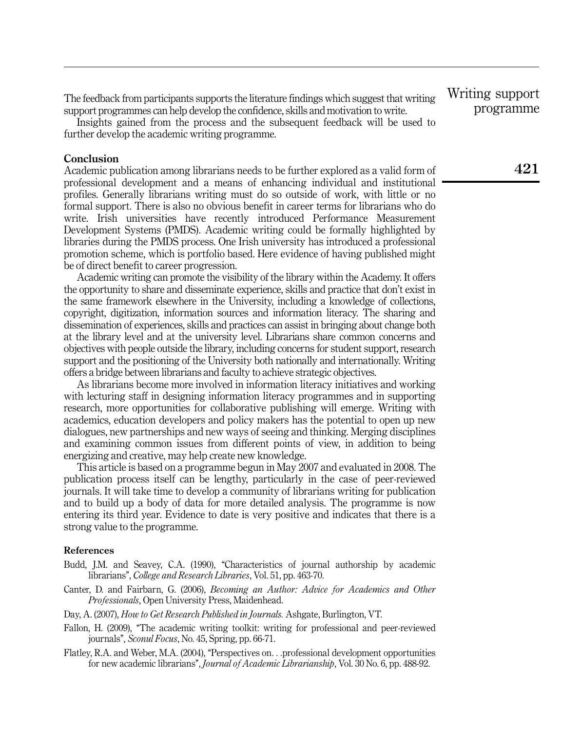The feedback from participants supports the literature findings which suggest that writing support programmes can help develop the confidence, skills and motivation to write.

Insights gained from the process and the subsequent feedback will be used to further develop the academic writing programme.

## Conclusion

Academic publication among librarians needs to be further explored as a valid form of professional development and a means of enhancing individual and institutional profiles. Generally librarians writing must do so outside of work, with little or no formal support. There is also no obvious benefit in career terms for librarians who do write. Irish universities have recently introduced Performance Measurement Development Systems (PMDS). Academic writing could be formally highlighted by libraries during the PMDS process. One Irish university has introduced a professional promotion scheme, which is portfolio based. Here evidence of having published might be of direct benefit to career progression.

Academic writing can promote the visibility of the library within the Academy. It offers the opportunity to share and disseminate experience, skills and practice that don't exist in the same framework elsewhere in the University, including a knowledge of collections, copyright, digitization, information sources and information literacy. The sharing and dissemination of experiences, skills and practices can assist in bringing about change both at the library level and at the university level. Librarians share common concerns and objectives with people outside the library, including concerns for student support, research support and the positioning of the University both nationally and internationally. Writing offers a bridge between librarians and faculty to achieve strategic objectives.

As librarians become more involved in information literacy initiatives and working with lecturing staff in designing information literacy programmes and in supporting research, more opportunities for collaborative publishing will emerge. Writing with academics, education developers and policy makers has the potential to open up new dialogues, new partnerships and new ways of seeing and thinking. Merging disciplines and examining common issues from different points of view, in addition to being energizing and creative, may help create new knowledge.

This article is based on a programme begun in May 2007 and evaluated in 2008. The publication process itself can be lengthy, particularly in the case of peer-reviewed journals. It will take time to develop a community of librarians writing for publication and to build up a body of data for more detailed analysis. The programme is now entering its third year. Evidence to date is very positive and indicates that there is a strong value to the programme.

#### References

- Budd, J.M. and Seavey, C.A. (1990), "Characteristics of journal authorship by academic librarians'', College and Research Libraries, Vol. 51, pp. 463-70.
- Canter, D. and Fairbarn, G. (2006), Becoming an Author: Advice for Academics and Other Professionals, Open University Press, Maidenhead.
- Day, A. (2007), How to Get Research Published in Journals. Ashgate, Burlington, VT.
- Fallon, H. (2009), ''The academic writing toolkit: writing for professional and peer-reviewed journals'', Sconul Focus, No. 45, Spring, pp. 66-71.
- Flatley, R.A. and Weber, M.A. (2004), "Perspectives on...professional development opportunities for new academic librarians", *Journal of Academic Librarianship*, Vol. 30 No. 6, pp. 488-92.

Writing support programme

421